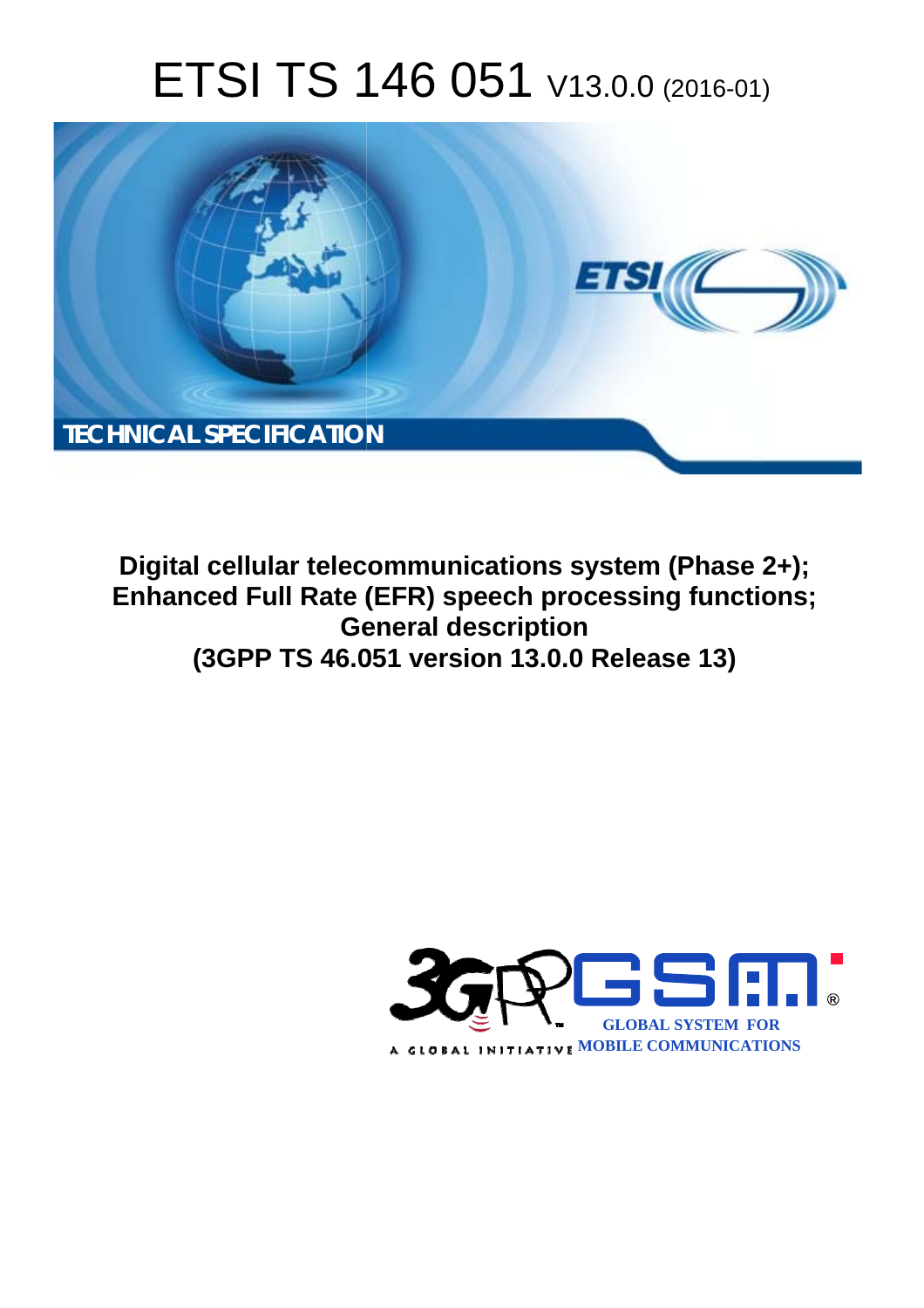# ETSI TS 146 051 V13.0.0 (2016-01)



**Digital cellular telecommunications system (Phase 2+); Enhanced Full Rate (EFR) speech processing functions; Ge General description (3GPP TS 46.0 .051 version 13.0.0 Release 13 13)** 

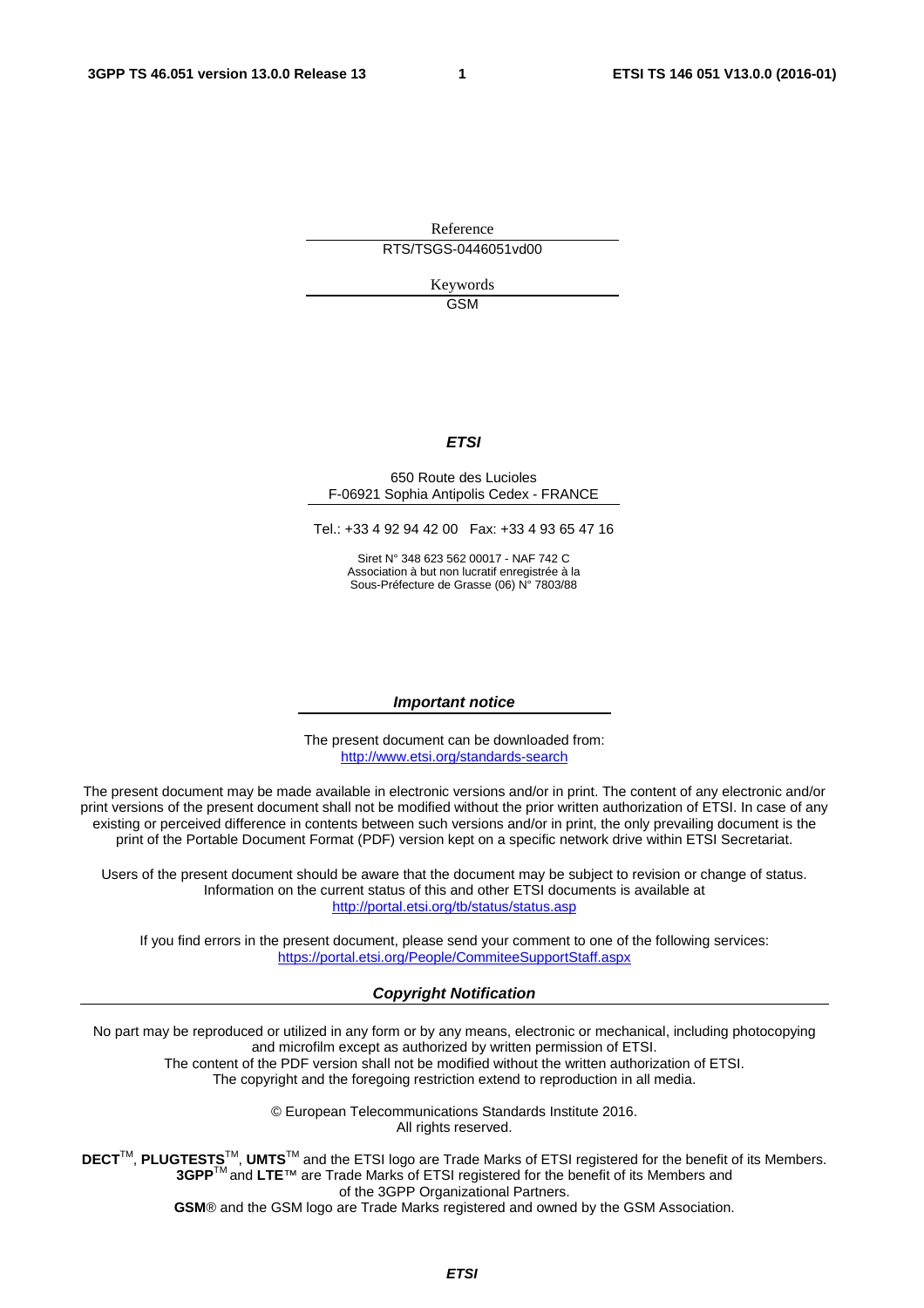Reference RTS/TSGS-0446051vd00

> Keywords **GSM**

#### *ETSI*

#### 650 Route des Lucioles F-06921 Sophia Antipolis Cedex - FRANCE

Tel.: +33 4 92 94 42 00 Fax: +33 4 93 65 47 16

Siret N° 348 623 562 00017 - NAF 742 C Association à but non lucratif enregistrée à la Sous-Préfecture de Grasse (06) N° 7803/88

#### *Important notice*

The present document can be downloaded from: <http://www.etsi.org/standards-search>

The present document may be made available in electronic versions and/or in print. The content of any electronic and/or print versions of the present document shall not be modified without the prior written authorization of ETSI. In case of any existing or perceived difference in contents between such versions and/or in print, the only prevailing document is the print of the Portable Document Format (PDF) version kept on a specific network drive within ETSI Secretariat.

Users of the present document should be aware that the document may be subject to revision or change of status. Information on the current status of this and other ETSI documents is available at <http://portal.etsi.org/tb/status/status.asp>

If you find errors in the present document, please send your comment to one of the following services: <https://portal.etsi.org/People/CommiteeSupportStaff.aspx>

#### *Copyright Notification*

No part may be reproduced or utilized in any form or by any means, electronic or mechanical, including photocopying and microfilm except as authorized by written permission of ETSI.

The content of the PDF version shall not be modified without the written authorization of ETSI. The copyright and the foregoing restriction extend to reproduction in all media.

> © European Telecommunications Standards Institute 2016. All rights reserved.

**DECT**TM, **PLUGTESTS**TM, **UMTS**TM and the ETSI logo are Trade Marks of ETSI registered for the benefit of its Members. **3GPP**TM and **LTE**™ are Trade Marks of ETSI registered for the benefit of its Members and of the 3GPP Organizational Partners.

**GSM**® and the GSM logo are Trade Marks registered and owned by the GSM Association.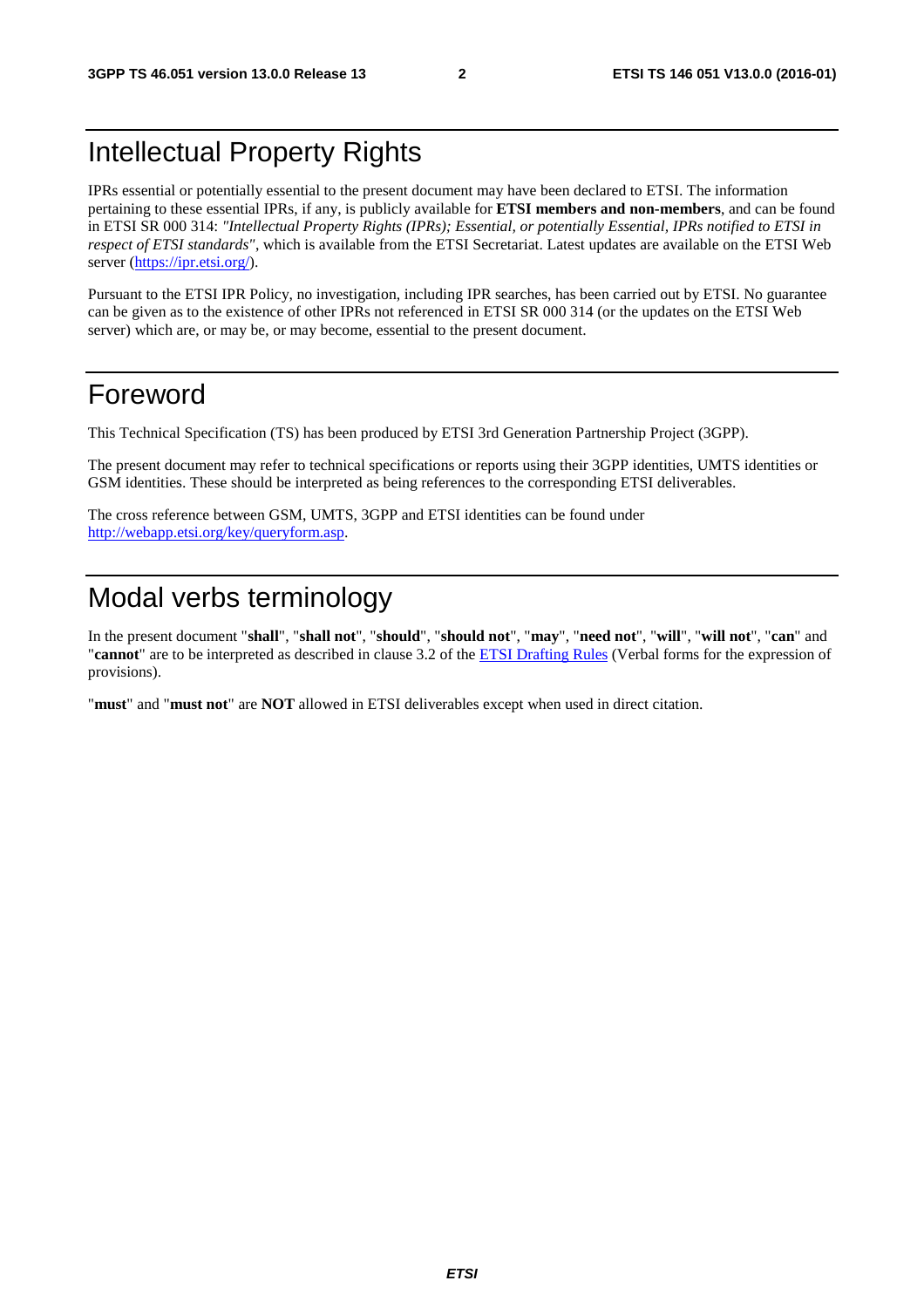### Intellectual Property Rights

IPRs essential or potentially essential to the present document may have been declared to ETSI. The information pertaining to these essential IPRs, if any, is publicly available for **ETSI members and non-members**, and can be found in ETSI SR 000 314: *"Intellectual Property Rights (IPRs); Essential, or potentially Essential, IPRs notified to ETSI in respect of ETSI standards"*, which is available from the ETSI Secretariat. Latest updates are available on the ETSI Web server [\(https://ipr.etsi.org/](https://ipr.etsi.org/)).

Pursuant to the ETSI IPR Policy, no investigation, including IPR searches, has been carried out by ETSI. No guarantee can be given as to the existence of other IPRs not referenced in ETSI SR 000 314 (or the updates on the ETSI Web server) which are, or may be, or may become, essential to the present document.

#### Foreword

This Technical Specification (TS) has been produced by ETSI 3rd Generation Partnership Project (3GPP).

The present document may refer to technical specifications or reports using their 3GPP identities, UMTS identities or GSM identities. These should be interpreted as being references to the corresponding ETSI deliverables.

The cross reference between GSM, UMTS, 3GPP and ETSI identities can be found under [http://webapp.etsi.org/key/queryform.asp.](http://webapp.etsi.org/key/queryform.asp)

### Modal verbs terminology

In the present document "**shall**", "**shall not**", "**should**", "**should not**", "**may**", "**need not**", "**will**", "**will not**", "**can**" and "**cannot**" are to be interpreted as described in clause 3.2 of the [ETSI Drafting Rules](http://portal.etsi.org/Help/editHelp!/Howtostart/ETSIDraftingRules.aspx) (Verbal forms for the expression of provisions).

"**must**" and "**must not**" are **NOT** allowed in ETSI deliverables except when used in direct citation.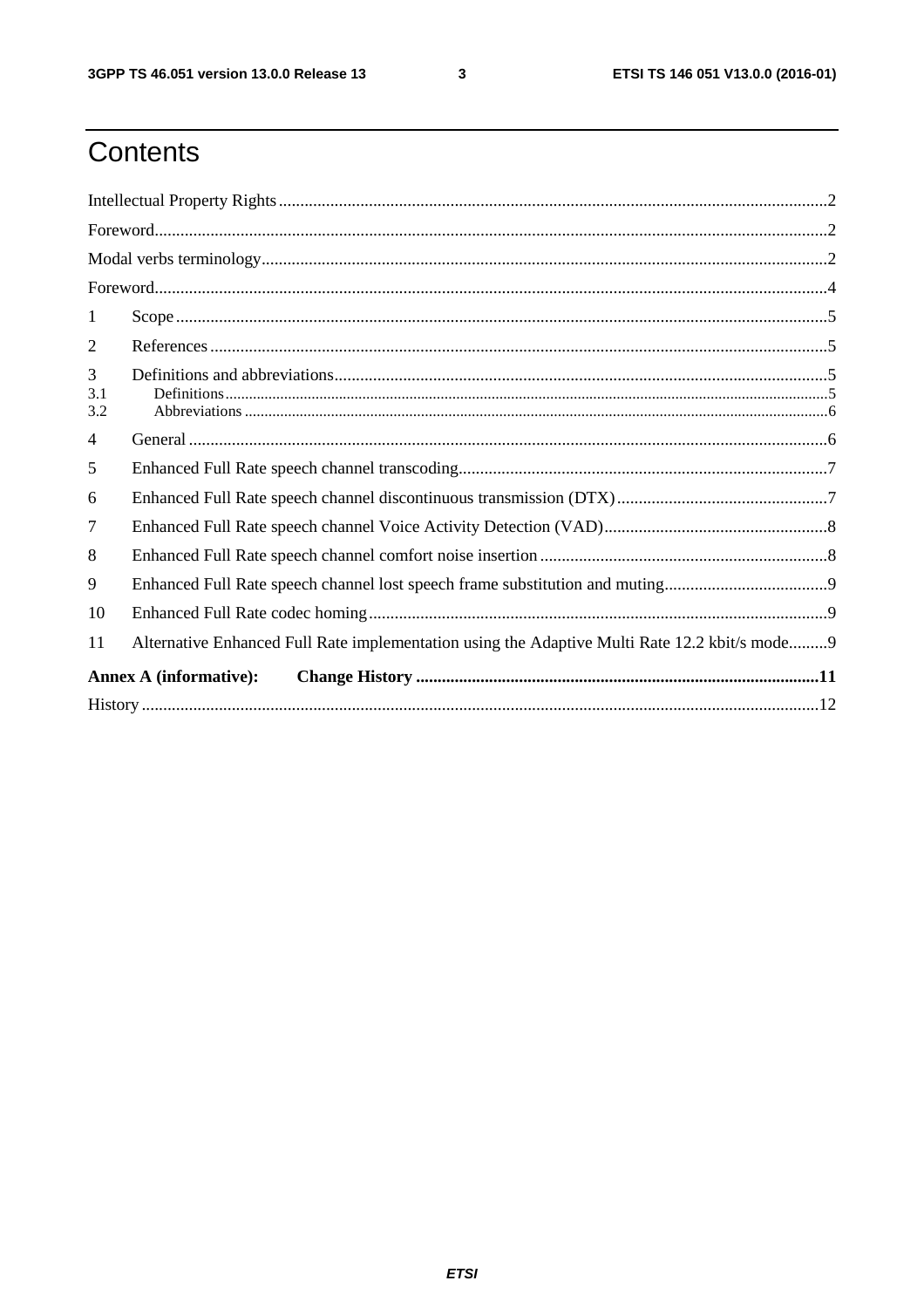$\mathbf{3}$ 

# Contents

| 1              |                                                                                               |  |  |  |  |
|----------------|-----------------------------------------------------------------------------------------------|--|--|--|--|
| 2              |                                                                                               |  |  |  |  |
| 3              |                                                                                               |  |  |  |  |
| 3.1<br>3.2     |                                                                                               |  |  |  |  |
| $\overline{4}$ |                                                                                               |  |  |  |  |
| 5              |                                                                                               |  |  |  |  |
| 6              |                                                                                               |  |  |  |  |
| $\overline{7}$ |                                                                                               |  |  |  |  |
| 8              |                                                                                               |  |  |  |  |
| 9              |                                                                                               |  |  |  |  |
| 10             |                                                                                               |  |  |  |  |
| 11             | Alternative Enhanced Full Rate implementation using the Adaptive Multi Rate 12.2 kbit/s mode9 |  |  |  |  |
|                | <b>Annex A (informative):</b>                                                                 |  |  |  |  |
|                |                                                                                               |  |  |  |  |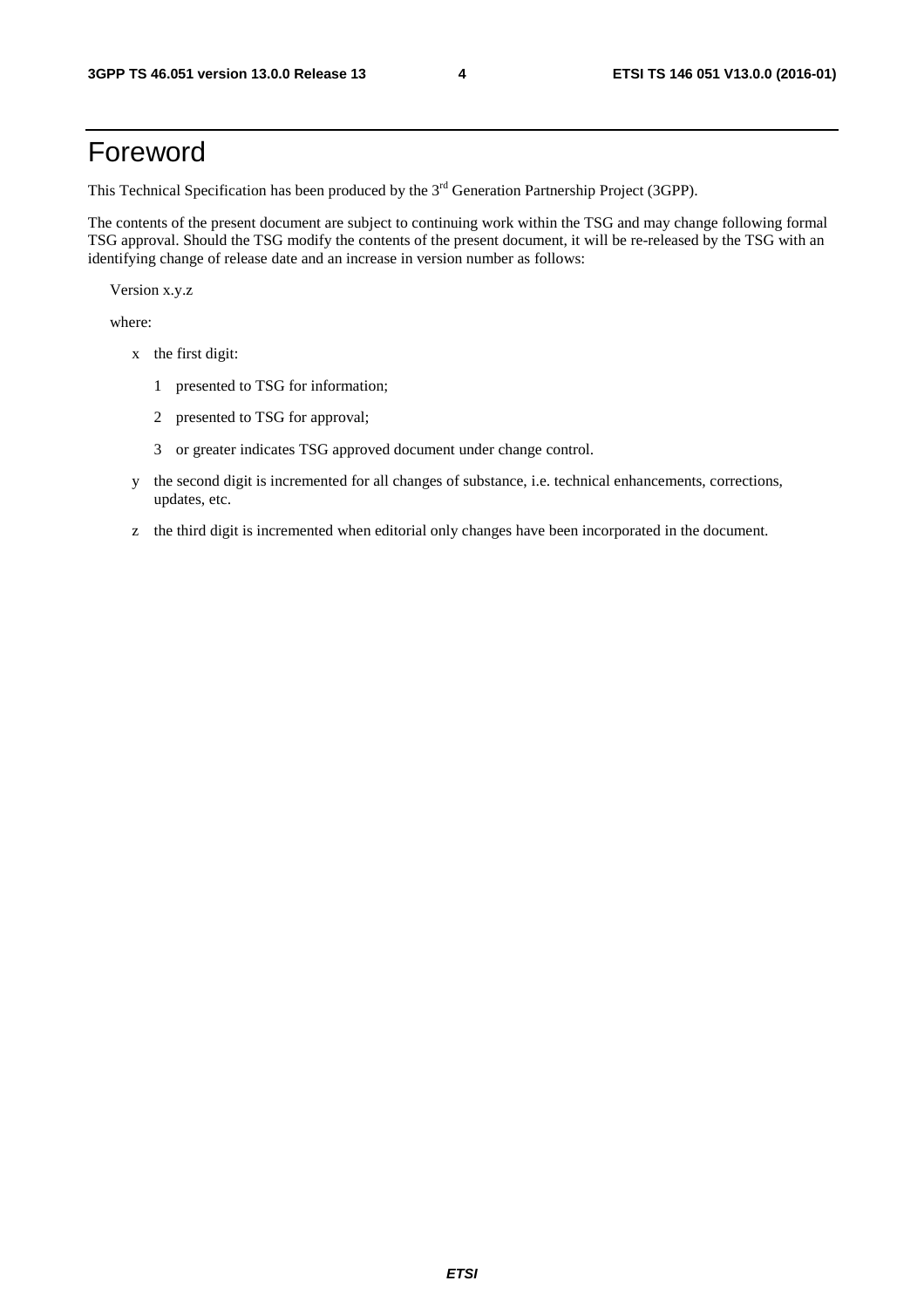### Foreword

This Technical Specification has been produced by the 3<sup>rd</sup> Generation Partnership Project (3GPP).

The contents of the present document are subject to continuing work within the TSG and may change following formal TSG approval. Should the TSG modify the contents of the present document, it will be re-released by the TSG with an identifying change of release date and an increase in version number as follows:

Version x.y.z

where:

- x the first digit:
	- 1 presented to TSG for information;
	- 2 presented to TSG for approval;
	- 3 or greater indicates TSG approved document under change control.
- y the second digit is incremented for all changes of substance, i.e. technical enhancements, corrections, updates, etc.
- z the third digit is incremented when editorial only changes have been incorporated in the document.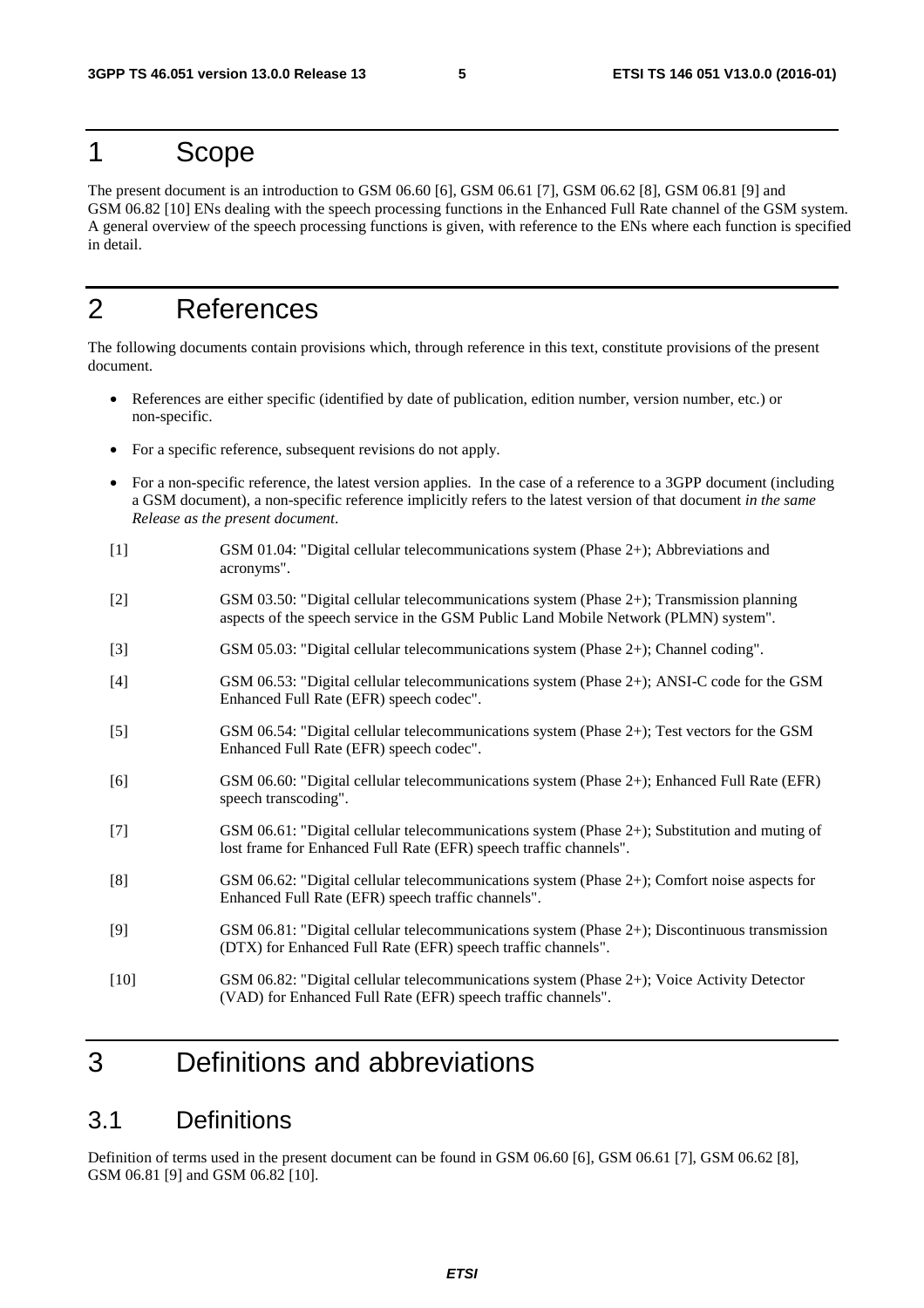#### 1 Scope

The present document is an introduction to GSM 06.60 [6], GSM 06.61 [7], GSM 06.62 [8], GSM 06.81 [9] and GSM 06.82 [10] ENs dealing with the speech processing functions in the Enhanced Full Rate channel of the GSM system. A general overview of the speech processing functions is given, with reference to the ENs where each function is specified in detail.

### 2 References

The following documents contain provisions which, through reference in this text, constitute provisions of the present document.

- References are either specific (identified by date of publication, edition number, version number, etc.) or non-specific.
- For a specific reference, subsequent revisions do not apply.
- For a non-specific reference, the latest version applies. In the case of a reference to a 3GPP document (including a GSM document), a non-specific reference implicitly refers to the latest version of that document *in the same Release as the present document*.
- [1] GSM 01.04: "Digital cellular telecommunications system (Phase 2+); Abbreviations and acronyms".
- [2] GSM 03.50: "Digital cellular telecommunications system (Phase 2+); Transmission planning aspects of the speech service in the GSM Public Land Mobile Network (PLMN) system".
- [3] GSM 05.03: "Digital cellular telecommunications system (Phase 2+); Channel coding".
- [4] GSM 06.53: "Digital cellular telecommunications system (Phase 2+); ANSI-C code for the GSM Enhanced Full Rate (EFR) speech codec".
- [5] GSM 06.54: "Digital cellular telecommunications system (Phase 2+); Test vectors for the GSM Enhanced Full Rate (EFR) speech codec".
- [6] GSM 06.60: "Digital cellular telecommunications system (Phase 2+); Enhanced Full Rate (EFR) speech transcoding".
- [7] GSM 06.61: "Digital cellular telecommunications system (Phase 2+); Substitution and muting of lost frame for Enhanced Full Rate (EFR) speech traffic channels".
- [8] GSM 06.62: "Digital cellular telecommunications system (Phase 2+); Comfort noise aspects for Enhanced Full Rate (EFR) speech traffic channels".
- [9] GSM 06.81: "Digital cellular telecommunications system (Phase 2+); Discontinuous transmission (DTX) for Enhanced Full Rate (EFR) speech traffic channels".
- [10] GSM 06.82: "Digital cellular telecommunications system (Phase 2+); Voice Activity Detector (VAD) for Enhanced Full Rate (EFR) speech traffic channels".

### 3 Definitions and abbreviations

#### 3.1 Definitions

Definition of terms used in the present document can be found in GSM 06.60 [6], GSM 06.61 [7], GSM 06.62 [8], GSM 06.81 [9] and GSM 06.82 [10].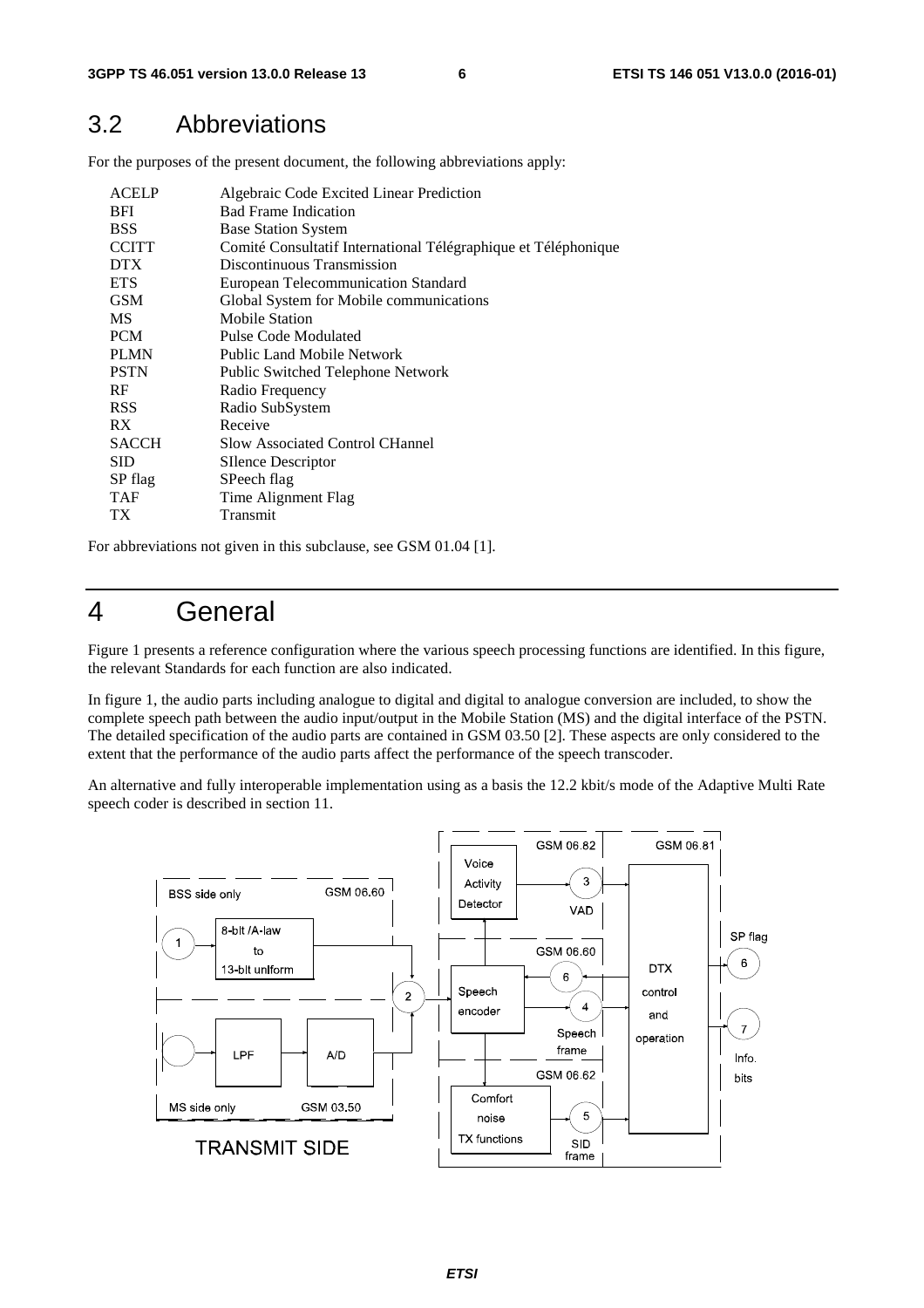#### 3.2 Abbreviations

For the purposes of the present document, the following abbreviations apply:

| <b>ACELP</b><br><b>BFI</b><br><b>BSS</b><br><b>CCITT</b> | Algebraic Code Excited Linear Prediction<br><b>Bad Frame Indication</b><br><b>Base Station System</b><br>Comité Consultatif International Télégraphique et Téléphonique |
|----------------------------------------------------------|-------------------------------------------------------------------------------------------------------------------------------------------------------------------------|
| <b>DTX</b>                                               | Discontinuous Transmission                                                                                                                                              |
| <b>ETS</b>                                               | European Telecommunication Standard                                                                                                                                     |
| <b>GSM</b>                                               | Global System for Mobile communications                                                                                                                                 |
| <b>MS</b>                                                | <b>Mobile Station</b>                                                                                                                                                   |
| <b>PCM</b>                                               | Pulse Code Modulated                                                                                                                                                    |
| <b>PLMN</b>                                              | Public Land Mobile Network                                                                                                                                              |
| <b>PSTN</b>                                              | Public Switched Telephone Network                                                                                                                                       |
| RF                                                       | Radio Frequency                                                                                                                                                         |
| <b>RSS</b>                                               | Radio SubSystem                                                                                                                                                         |
| RX.                                                      | Receive                                                                                                                                                                 |
| <b>SACCH</b>                                             | <b>Slow Associated Control CHannel</b>                                                                                                                                  |
| <b>SID</b>                                               | SIlence Descriptor                                                                                                                                                      |
| SP flag                                                  | SPeech flag                                                                                                                                                             |
| <b>TAF</b>                                               | Time Alignment Flag                                                                                                                                                     |
| TХ                                                       | Transmit                                                                                                                                                                |

For abbreviations not given in this subclause, see GSM 01.04 [1].

### 4 General

Figure 1 presents a reference configuration where the various speech processing functions are identified. In this figure, the relevant Standards for each function are also indicated.

In figure 1, the audio parts including analogue to digital and digital to analogue conversion are included, to show the complete speech path between the audio input/output in the Mobile Station (MS) and the digital interface of the PSTN. The detailed specification of the audio parts are contained in GSM 03.50 [2]. These aspects are only considered to the extent that the performance of the audio parts affect the performance of the speech transcoder.

An alternative and fully interoperable implementation using as a basis the 12.2 kbit/s mode of the Adaptive Multi Rate speech coder is described in section 11.

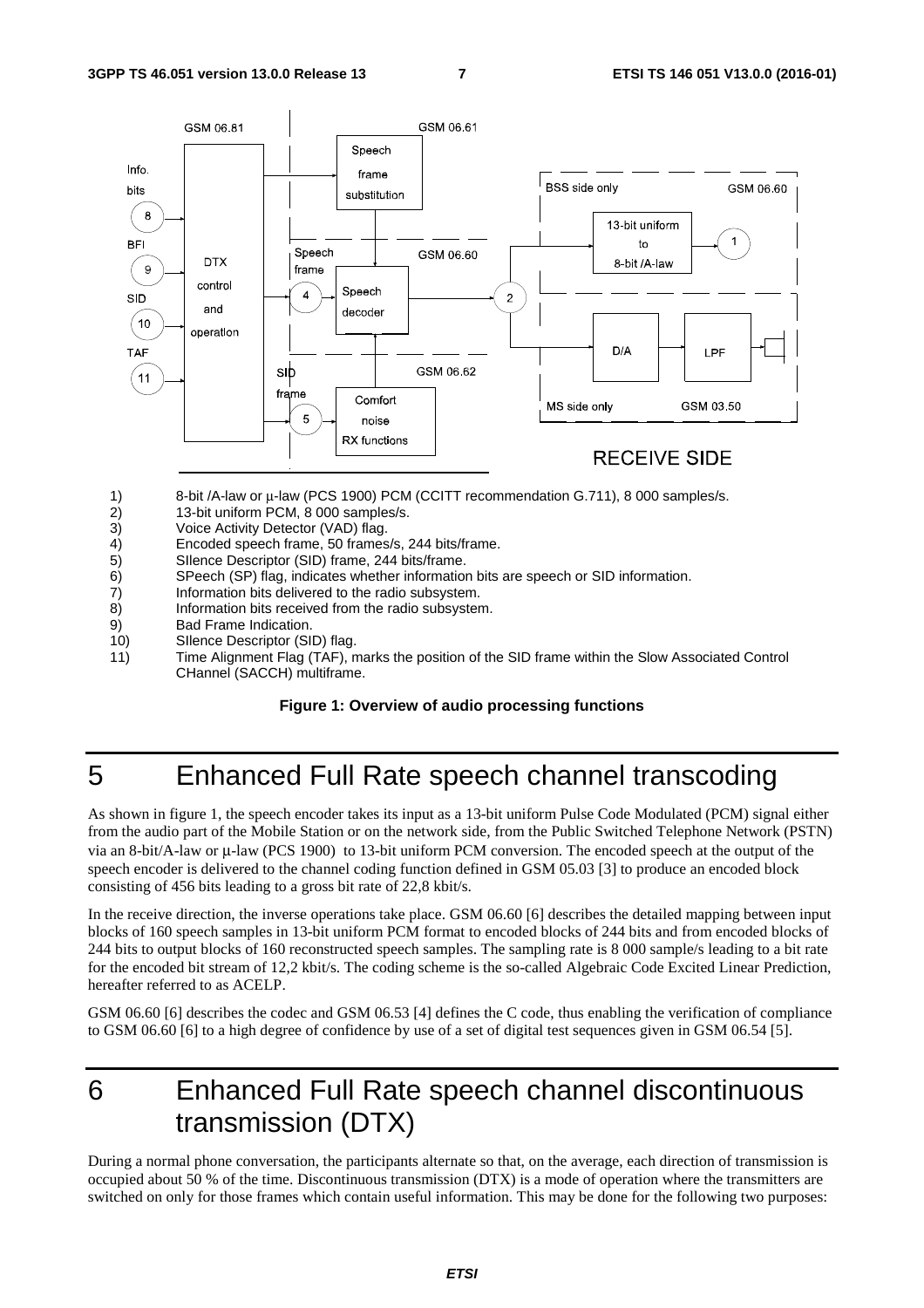

- 1) 8-bit /A-law or μ-law (PCS 1900) PCM (CCITT recommendation G.711), 8 000 samples/s.
- 2) 13-bit uniform PCM, 8 000 samples/s.<br>3) Voice Activity Detector (VAD) flag.
- Voice Activity Detector (VAD) flag.
- 4) Encoded speech frame, 50 frames/s, 244 bits/frame.<br>5) Sllence Descriptor (SID) frame, 244 bits/frame.
- 5) Silence Descriptor (SID) frame, 244 bits/frame.<br>6) SPeech (SP) flag. indicates whether information
- 6) SPeech (SP) flag, indicates whether information bits are speech or SID information.
- 7) Information bits delivered to the radio subsystem.
- 8) Information bits received from the radio subsystem.
- 9) Bad Frame Indication.
- 10) SIlence Descriptor (SID) flag.
- 11) Time Alignment Flag (TAF), marks the position of the SID frame within the Slow Associated Control CHannel (SACCH) multiframe.

#### **Figure 1: Overview of audio processing functions**

## 5 Enhanced Full Rate speech channel transcoding

As shown in figure 1, the speech encoder takes its input as a 13-bit uniform Pulse Code Modulated (PCM) signal either from the audio part of the Mobile Station or on the network side, from the Public Switched Telephone Network (PSTN) via an 8-bit/A-law or μ-law (PCS 1900) to 13-bit uniform PCM conversion. The encoded speech at the output of the speech encoder is delivered to the channel coding function defined in GSM 05.03 [3] to produce an encoded block consisting of 456 bits leading to a gross bit rate of 22,8 kbit/s.

In the receive direction, the inverse operations take place. GSM 06.60 [6] describes the detailed mapping between input blocks of 160 speech samples in 13-bit uniform PCM format to encoded blocks of 244 bits and from encoded blocks of 244 bits to output blocks of 160 reconstructed speech samples. The sampling rate is 8 000 sample/s leading to a bit rate for the encoded bit stream of 12,2 kbit/s. The coding scheme is the so-called Algebraic Code Excited Linear Prediction, hereafter referred to as ACELP.

GSM 06.60 [6] describes the codec and GSM 06.53 [4] defines the C code, thus enabling the verification of compliance to GSM 06.60 [6] to a high degree of confidence by use of a set of digital test sequences given in GSM 06.54 [5].

### 6 Enhanced Full Rate speech channel discontinuous transmission (DTX)

During a normal phone conversation, the participants alternate so that, on the average, each direction of transmission is occupied about 50 % of the time. Discontinuous transmission (DTX) is a mode of operation where the transmitters are switched on only for those frames which contain useful information. This may be done for the following two purposes: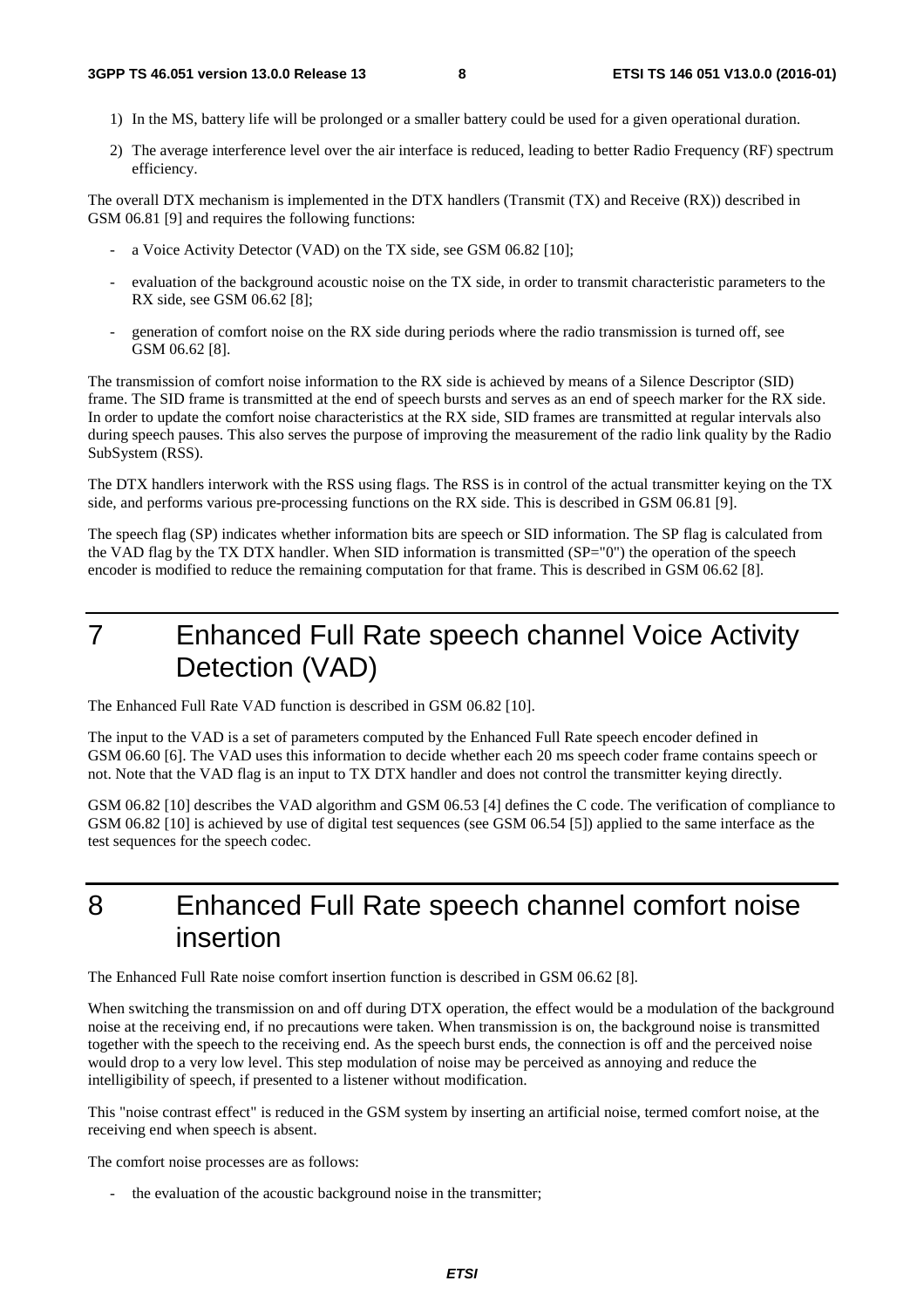- 1) In the MS, battery life will be prolonged or a smaller battery could be used for a given operational duration.
- 2) The average interference level over the air interface is reduced, leading to better Radio Frequency (RF) spectrum efficiency.

The overall DTX mechanism is implemented in the DTX handlers (Transmit (TX) and Receive (RX)) described in GSM 06.81 [9] and requires the following functions:

- a Voice Activity Detector (VAD) on the TX side, see GSM 06.82 [10];
- evaluation of the background acoustic noise on the TX side, in order to transmit characteristic parameters to the RX side, see GSM 06.62 [8];
- generation of comfort noise on the RX side during periods where the radio transmission is turned off, see GSM 06.62 [8].

The transmission of comfort noise information to the RX side is achieved by means of a Silence Descriptor (SID) frame. The SID frame is transmitted at the end of speech bursts and serves as an end of speech marker for the RX side. In order to update the comfort noise characteristics at the RX side, SID frames are transmitted at regular intervals also during speech pauses. This also serves the purpose of improving the measurement of the radio link quality by the Radio SubSystem (RSS).

The DTX handlers interwork with the RSS using flags. The RSS is in control of the actual transmitter keying on the TX side, and performs various pre-processing functions on the RX side. This is described in GSM 06.81 [9].

The speech flag (SP) indicates whether information bits are speech or SID information. The SP flag is calculated from the VAD flag by the TX DTX handler. When SID information is transmitted (SP="0") the operation of the speech encoder is modified to reduce the remaining computation for that frame. This is described in GSM 06.62 [8].

7 Enhanced Full Rate speech channel Voice Activity Detection (VAD)

The Enhanced Full Rate VAD function is described in GSM 06.82 [10].

The input to the VAD is a set of parameters computed by the Enhanced Full Rate speech encoder defined in GSM 06.60 [6]. The VAD uses this information to decide whether each 20 ms speech coder frame contains speech or not. Note that the VAD flag is an input to TX DTX handler and does not control the transmitter keying directly.

GSM 06.82 [10] describes the VAD algorithm and GSM 06.53 [4] defines the C code. The verification of compliance to GSM 06.82 [10] is achieved by use of digital test sequences (see GSM 06.54 [5]) applied to the same interface as the test sequences for the speech codec.

8 Enhanced Full Rate speech channel comfort noise insertion

The Enhanced Full Rate noise comfort insertion function is described in GSM 06.62 [8].

When switching the transmission on and off during DTX operation, the effect would be a modulation of the background noise at the receiving end, if no precautions were taken. When transmission is on, the background noise is transmitted together with the speech to the receiving end. As the speech burst ends, the connection is off and the perceived noise would drop to a very low level. This step modulation of noise may be perceived as annoying and reduce the intelligibility of speech, if presented to a listener without modification.

This "noise contrast effect" is reduced in the GSM system by inserting an artificial noise, termed comfort noise, at the receiving end when speech is absent.

The comfort noise processes are as follows:

the evaluation of the acoustic background noise in the transmitter;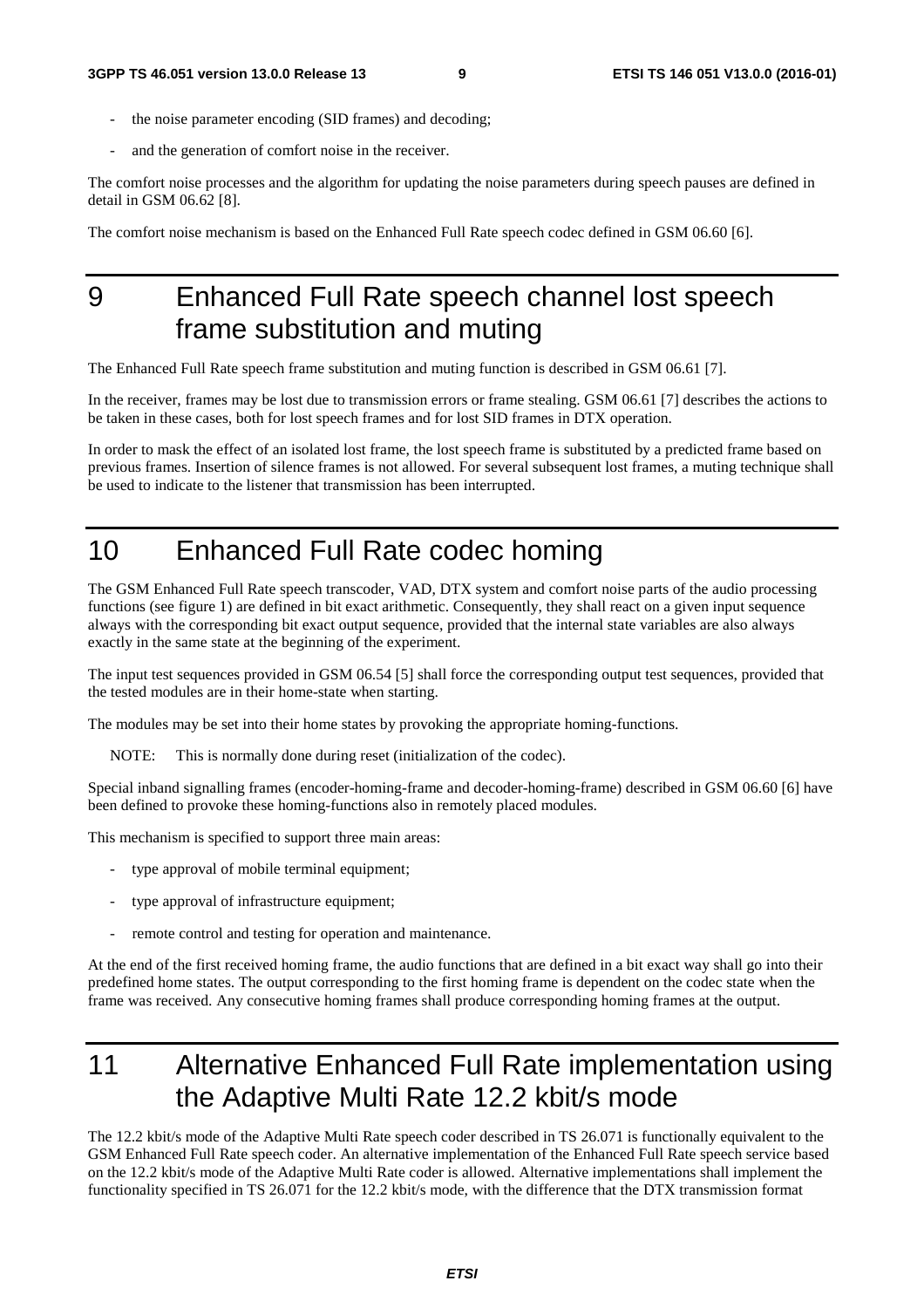- the noise parameter encoding (SID frames) and decoding;
- and the generation of comfort noise in the receiver.

The comfort noise processes and the algorithm for updating the noise parameters during speech pauses are defined in detail in GSM 06.62 [8].

The comfort noise mechanism is based on the Enhanced Full Rate speech codec defined in GSM 06.60 [6].

## 9 Enhanced Full Rate speech channel lost speech frame substitution and muting

The Enhanced Full Rate speech frame substitution and muting function is described in GSM 06.61 [7].

In the receiver, frames may be lost due to transmission errors or frame stealing. GSM 06.61 [7] describes the actions to be taken in these cases, both for lost speech frames and for lost SID frames in DTX operation.

In order to mask the effect of an isolated lost frame, the lost speech frame is substituted by a predicted frame based on previous frames. Insertion of silence frames is not allowed. For several subsequent lost frames, a muting technique shall be used to indicate to the listener that transmission has been interrupted.

# 10 Enhanced Full Rate codec homing

The GSM Enhanced Full Rate speech transcoder, VAD, DTX system and comfort noise parts of the audio processing functions (see figure 1) are defined in bit exact arithmetic. Consequently, they shall react on a given input sequence always with the corresponding bit exact output sequence, provided that the internal state variables are also always exactly in the same state at the beginning of the experiment.

The input test sequences provided in GSM 06.54 [5] shall force the corresponding output test sequences, provided that the tested modules are in their home-state when starting.

The modules may be set into their home states by provoking the appropriate homing-functions.

NOTE: This is normally done during reset (initialization of the codec).

Special inband signalling frames (encoder-homing-frame and decoder-homing-frame) described in GSM 06.60 [6] have been defined to provoke these homing-functions also in remotely placed modules.

This mechanism is specified to support three main areas:

- type approval of mobile terminal equipment;
- type approval of infrastructure equipment;
- remote control and testing for operation and maintenance.

At the end of the first received homing frame, the audio functions that are defined in a bit exact way shall go into their predefined home states. The output corresponding to the first homing frame is dependent on the codec state when the frame was received. Any consecutive homing frames shall produce corresponding homing frames at the output.

# 11 Alternative Enhanced Full Rate implementation using the Adaptive Multi Rate 12.2 kbit/s mode

The 12.2 kbit/s mode of the Adaptive Multi Rate speech coder described in TS 26.071 is functionally equivalent to the GSM Enhanced Full Rate speech coder. An alternative implementation of the Enhanced Full Rate speech service based on the 12.2 kbit/s mode of the Adaptive Multi Rate coder is allowed. Alternative implementations shall implement the functionality specified in TS 26.071 for the 12.2 kbit/s mode, with the difference that the DTX transmission format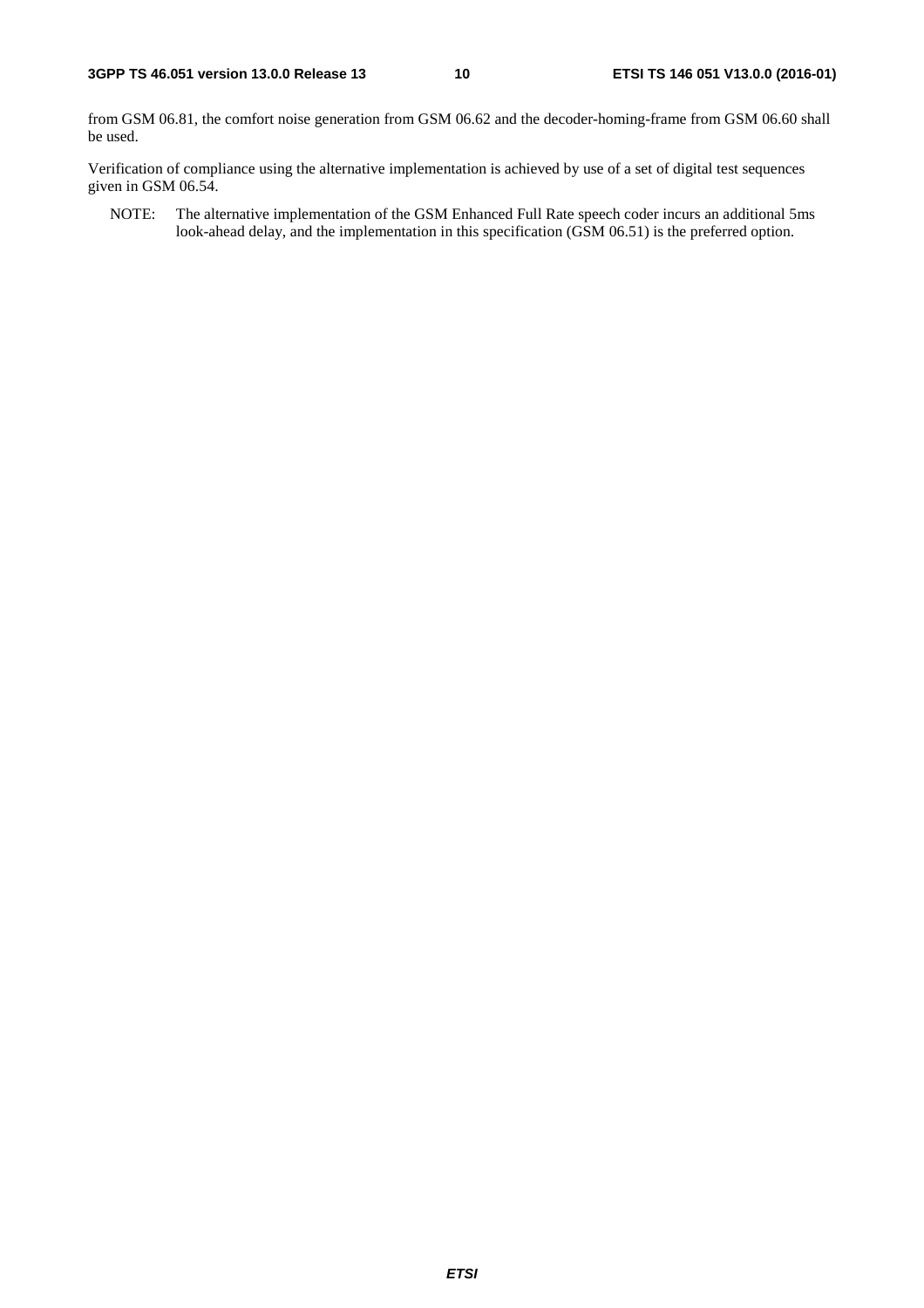from GSM 06.81, the comfort noise generation from GSM 06.62 and the decoder-homing-frame from GSM 06.60 shall be used.

Verification of compliance using the alternative implementation is achieved by use of a set of digital test sequences given in GSM 06.54.

NOTE: The alternative implementation of the GSM Enhanced Full Rate speech coder incurs an additional 5ms look-ahead delay, and the implementation in this specification (GSM 06.51) is the preferred option.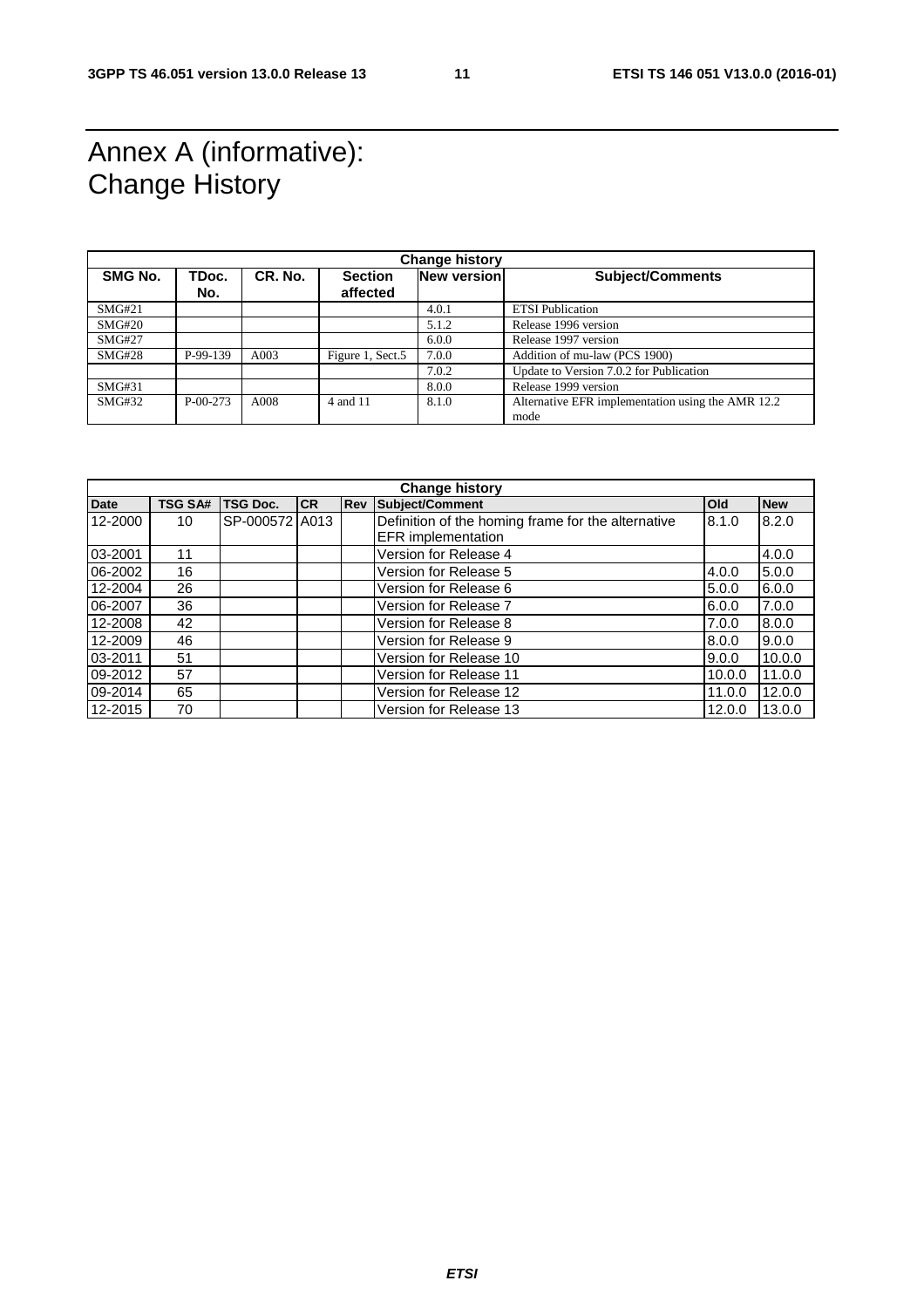### Annex A (informative): Change History

| <b>Change history</b> |                |         |                            |             |                                                           |  |
|-----------------------|----------------|---------|----------------------------|-------------|-----------------------------------------------------------|--|
| <b>SMG No.</b>        | TDoc.<br>No.   | CR. No. | <b>Section</b><br>affected | New version | <b>Subject/Comments</b>                                   |  |
| SMG#21                |                |         |                            | 4.0.1       | <b>ETSI</b> Publication                                   |  |
| SMG#20                |                |         |                            | 5.1.2       | Release 1996 version                                      |  |
| <b>SMG#27</b>         |                |         |                            | 6.0.0       | Release 1997 version                                      |  |
| SMG#28                | P-99-139       | A003    | Figure 1, Sect.5           | 7.0.0       | Addition of mu-law (PCS 1900)                             |  |
|                       |                |         |                            | 7.0.2       | Update to Version 7.0.2 for Publication                   |  |
| SMG#31                |                |         |                            | 8.0.0       | Release 1999 version                                      |  |
| SMG#32                | $P - 00 - 273$ | A008    | 4 and 11                   | 8.1.0       | Alternative EFR implementation using the AMR 12.2<br>mode |  |

| <b>Change history</b> |                |                 |           |  |                                                    |        |            |
|-----------------------|----------------|-----------------|-----------|--|----------------------------------------------------|--------|------------|
| <b>Date</b>           | <b>TSG SA#</b> | <b>TSG Doc.</b> | <b>CR</b> |  | <b>Rev Subject/Comment</b>                         | Old    | <b>New</b> |
| 12-2000               | 10             | SP-000572 A013  |           |  | Definition of the homing frame for the alternative | 8.1.0  | 8.2.0      |
|                       |                |                 |           |  | EFR implementation                                 |        |            |
| 03-2001               | 11             |                 |           |  | Version for Release 4                              |        | 4.0.0      |
| 06-2002               | 16             |                 |           |  | Version for Release 5                              | 4.0.0  | 5.0.0      |
| 12-2004               | 26             |                 |           |  | Version for Release 6                              | 5.0.0  | 6.0.0      |
| 06-2007               | 36             |                 |           |  | Version for Release 7                              | 6.0.0  | 7.0.0      |
| 12-2008               | 42             |                 |           |  | Version for Release 8                              | 7.0.0  | 8.0.0      |
| 12-2009               | 46             |                 |           |  | Version for Release 9                              | 8.0.0  | 9.0.0      |
| 03-2011               | 51             |                 |           |  | Version for Release 10                             | 9.0.0  | 10.0.0     |
| 09-2012               | 57             |                 |           |  | Version for Release 11                             | 10.0.0 | 11.0.0     |
| 09-2014               | 65             |                 |           |  | Version for Release 12                             | 11.0.0 | 12.0.0     |
| 12-2015               | 70             |                 |           |  | Version for Release 13                             | 12.0.0 | 13.0.0     |